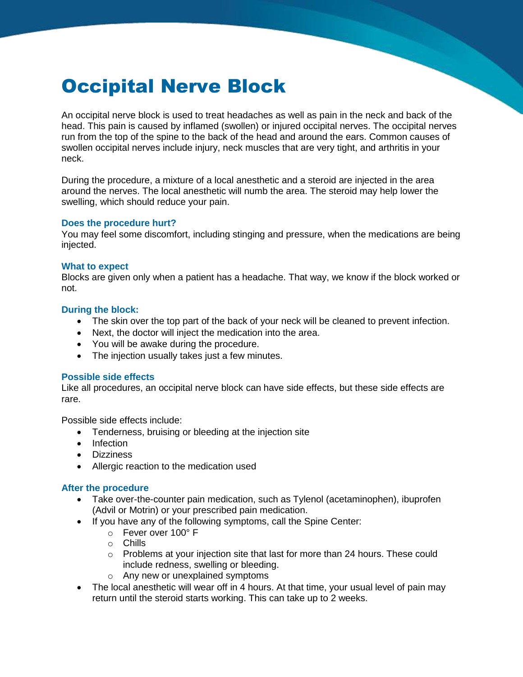# Occipital Nerve Block

An occipital nerve block is used to treat headaches as well as pain in the neck and back of the head. This pain is caused by inflamed (swollen) or injured occipital nerves. The occipital nerves run from the top of the spine to the back of the head and around the ears. Common causes of swollen occipital nerves include injury, neck muscles that are very tight, and arthritis in your neck.

During the procedure, a mixture of a local anesthetic and a steroid are injected in the area around the nerves. The local anesthetic will numb the area. The steroid may help lower the swelling, which should reduce your pain.

### **Does the procedure hurt?**

You may feel some discomfort, including stinging and pressure, when the medications are being injected.

### **What to expect**

Blocks are given only when a patient has a headache. That way, we know if the block worked or not.

# **During the block:**

- The skin over the top part of the back of your neck will be cleaned to prevent infection.
- Next, the doctor will inject the medication into the area.
- You will be awake during the procedure.
- The injection usually takes just a few minutes.

#### **Possible side effects**

Like all procedures, an occipital nerve block can have side effects, but these side effects are rare.

Possible side effects include:

- Tenderness, bruising or bleeding at the injection site
- Infection
- **•** Dizziness
- Allergic reaction to the medication used

# **After the procedure**

- Take over-the-counter pain medication, such as Tylenol (acetaminophen), ibuprofen (Advil or Motrin) or your prescribed pain medication.
- If you have any of the following symptoms, call the Spine Center:
	- o Fever over 100° F
	- o Chills
	- $\circ$  Problems at your injection site that last for more than 24 hours. These could include redness, swelling or bleeding.
	- o Any new or unexplained symptoms
- The local anesthetic will wear off in 4 hours. At that time, your usual level of pain may return until the steroid starts working. This can take up to 2 weeks.